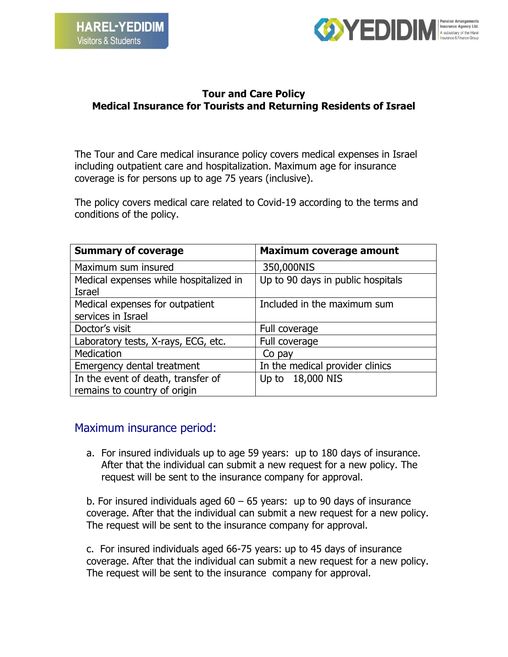



### **Tour and Care Policy Medical Insurance for Tourists and Returning Residents of Israel**

The Tour and Care medical insurance policy covers medical expenses in Israel including outpatient care and hospitalization. Maximum age for insurance coverage is for persons up to age 75 years (inclusive).

The policy covers medical care related to Covid-19 according to the terms and conditions of the policy.

| <b>Summary of coverage</b>             | <b>Maximum coverage amount</b>    |  |
|----------------------------------------|-----------------------------------|--|
| Maximum sum insured                    | 350,000NIS                        |  |
| Medical expenses while hospitalized in | Up to 90 days in public hospitals |  |
| Israel                                 |                                   |  |
| Medical expenses for outpatient        | Included in the maximum sum       |  |
| services in Israel                     |                                   |  |
| Doctor's visit                         | Full coverage                     |  |
| Laboratory tests, X-rays, ECG, etc.    | Full coverage                     |  |
| <b>Medication</b>                      | Co pay                            |  |
| Emergency dental treatment             | In the medical provider clinics   |  |
| In the event of death, transfer of     | Up to 18,000 NIS                  |  |
| remains to country of origin           |                                   |  |

## Maximum insurance period:

a. For insured individuals up to age 59 years: up to 180 days of insurance. After that the individual can submit a new request for a new policy. The request will be sent to the insurance company for approval.

b. For insured individuals aged  $60 - 65$  years: up to 90 days of insurance coverage. After that the individual can submit a new request for a new policy. The request will be sent to the insurance company for approval.

c. For insured individuals aged 66-75 years: up to 45 days of insurance coverage. After that the individual can submit a new request for a new policy. The request will be sent to the insurance company for approval.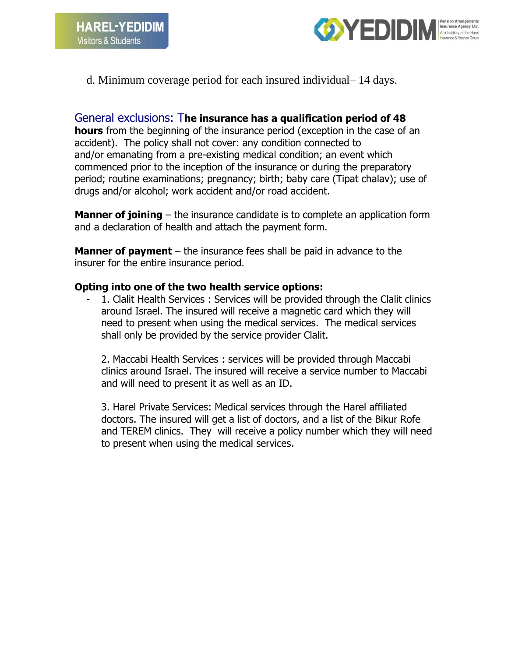



d. Minimum coverage period for each insured individual– 14 days.

## General exclusions: T**he insurance has a qualification period of 48**

**hours** from the beginning of the insurance period (exception in the case of an accident). The policy shall not cover: any condition connected to and/or emanating from a pre-existing medical condition; an event which commenced prior to the inception of the insurance or during the preparatory period; routine examinations; pregnancy; birth; baby care (Tipat chalav); use of drugs and/or alcohol; work accident and/or road accident.

**Manner of joining** – the insurance candidate is to complete an application form and a declaration of health and attach the payment form.

**Manner of payment** – the insurance fees shall be paid in advance to the insurer for the entire insurance period.

#### **Opting into one of the two health service options:**

- 1. Clalit Health Services : Services will be provided through the Clalit clinics around Israel. The insured will receive a magnetic card which they will need to present when using the medical services. The medical services shall only be provided by the service provider Clalit.

2. Maccabi Health Services : services will be provided through Maccabi clinics around Israel. The insured will receive a service number to Maccabi and will need to present it as well as an ID.

3. Harel Private Services: Medical services through the Harel affiliated doctors. The insured will get a list of doctors, and a list of the Bikur Rofe and TEREM clinics. They will receive a policy number which they will need to present when using the medical services.